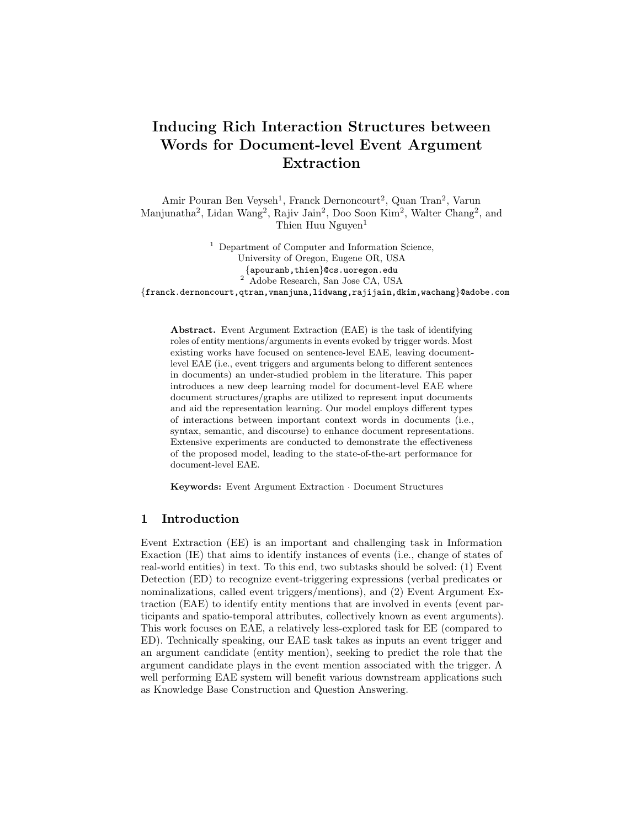# Inducing Rich Interaction Structures between Words for Document-level Event Argument Extraction

Amir Pouran Ben Veyseh<sup>1</sup>, Franck Dernoncourt<sup>2</sup>, Quan Tran<sup>2</sup>, Varun Manjunatha<sup>2</sup>, Lidan Wang<sup>2</sup>, Rajiv Jain<sup>2</sup>, Doo Soon Kim<sup>2</sup>, Walter Chang<sup>2</sup>, and Thien Huu Nguyen<sup>1</sup>

> <sup>1</sup> Department of Computer and Information Science, University of Oregon, Eugene OR, USA {apouranb,thien}@cs.uoregon.edu <sup>2</sup> Adobe Research, San Jose CA, USA

{franck.dernoncourt,qtran,vmanjuna,lidwang,rajijain,dkim,wachang}@adobe.com

Abstract. Event Argument Extraction (EAE) is the task of identifying roles of entity mentions/arguments in events evoked by trigger words. Most existing works have focused on sentence-level EAE, leaving documentlevel EAE (i.e., event triggers and arguments belong to different sentences in documents) an under-studied problem in the literature. This paper introduces a new deep learning model for document-level EAE where document structures/graphs are utilized to represent input documents and aid the representation learning. Our model employs different types of interactions between important context words in documents (i.e., syntax, semantic, and discourse) to enhance document representations. Extensive experiments are conducted to demonstrate the effectiveness of the proposed model, leading to the state-of-the-art performance for document-level EAE.

Keywords: Event Argument Extraction · Document Structures

## 1 Introduction

Event Extraction (EE) is an important and challenging task in Information Exaction (IE) that aims to identify instances of events (i.e., change of states of real-world entities) in text. To this end, two subtasks should be solved: (1) Event Detection (ED) to recognize event-triggering expressions (verbal predicates or nominalizations, called event triggers/mentions), and (2) Event Argument Extraction (EAE) to identify entity mentions that are involved in events (event participants and spatio-temporal attributes, collectively known as event arguments). This work focuses on EAE, a relatively less-explored task for EE (compared to ED). Technically speaking, our EAE task takes as inputs an event trigger and an argument candidate (entity mention), seeking to predict the role that the argument candidate plays in the event mention associated with the trigger. A well performing EAE system will benefit various downstream applications such as Knowledge Base Construction and Question Answering.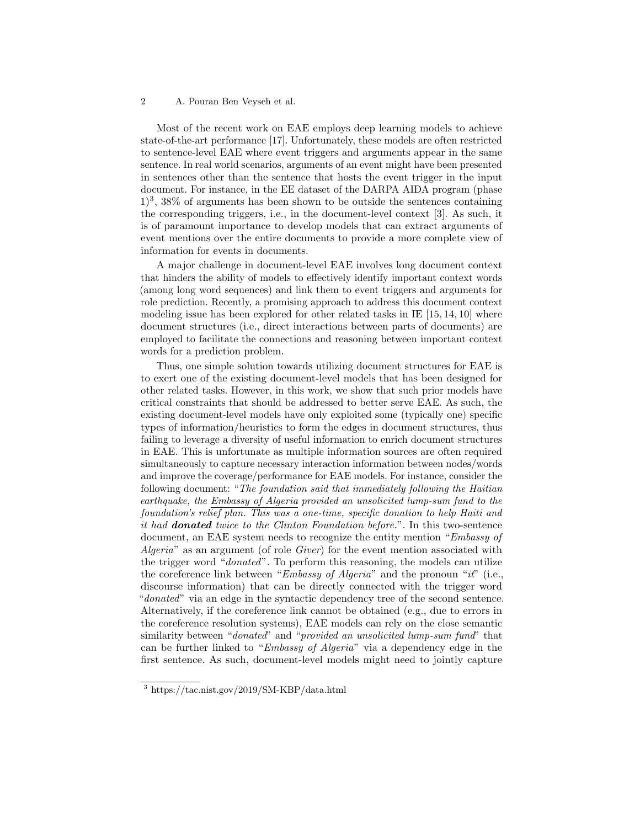Most of the recent work on EAE employs deep learning models to achieve state-of-the-art performance [17]. Unfortunately, these models are often restricted to sentence-level EAE where event triggers and arguments appear in the same sentence. In real world scenarios, arguments of an event might have been presented in sentences other than the sentence that hosts the event trigger in the input document. For instance, in the EE dataset of the DARPA AIDA program (phase  $1<sup>3</sup>$ , 38% of arguments has been shown to be outside the sentences containing the corresponding triggers, i.e., in the document-level context [3]. As such, it is of paramount importance to develop models that can extract arguments of event mentions over the entire documents to provide a more complete view of information for events in documents.

A major challenge in document-level EAE involves long document context that hinders the ability of models to effectively identify important context words (among long word sequences) and link them to event triggers and arguments for role prediction. Recently, a promising approach to address this document context modeling issue has been explored for other related tasks in IE [15, 14, 10] where document structures (i.e., direct interactions between parts of documents) are employed to facilitate the connections and reasoning between important context words for a prediction problem.

Thus, one simple solution towards utilizing document structures for EAE is to exert one of the existing document-level models that has been designed for other related tasks. However, in this work, we show that such prior models have critical constraints that should be addressed to better serve EAE. As such, the existing document-level models have only exploited some (typically one) specific types of information/heuristics to form the edges in document structures, thus failing to leverage a diversity of useful information to enrich document structures in EAE. This is unfortunate as multiple information sources are often required simultaneously to capture necessary interaction information between nodes/words and improve the coverage/performance for EAE models. For instance, consider the following document: "The foundation said that immediately following the Haitian earthquake, the Embassy of Algeria provided an unsolicited lump-sum fund to the foundation's relief plan. This was a one-time, specific donation to help Haiti and it had donated twice to the Clinton Foundation before.". In this two-sentence document, an EAE system needs to recognize the entity mention "Embassy of Algeria" as an argument (of role Giver) for the event mention associated with the trigger word "donated". To perform this reasoning, the models can utilize the coreference link between "Embassy of Algeria" and the pronoun "it" (i.e., discourse information) that can be directly connected with the trigger word "donated" via an edge in the syntactic dependency tree of the second sentence. Alternatively, if the coreference link cannot be obtained (e.g., due to errors in the coreference resolution systems), EAE models can rely on the close semantic similarity between "*donated*" and "*provided an unsolicited lump-sum fund*" that can be further linked to "Embassy of Algeria" via a dependency edge in the first sentence. As such, document-level models might need to jointly capture

<sup>3</sup> https://tac.nist.gov/2019/SM-KBP/data.html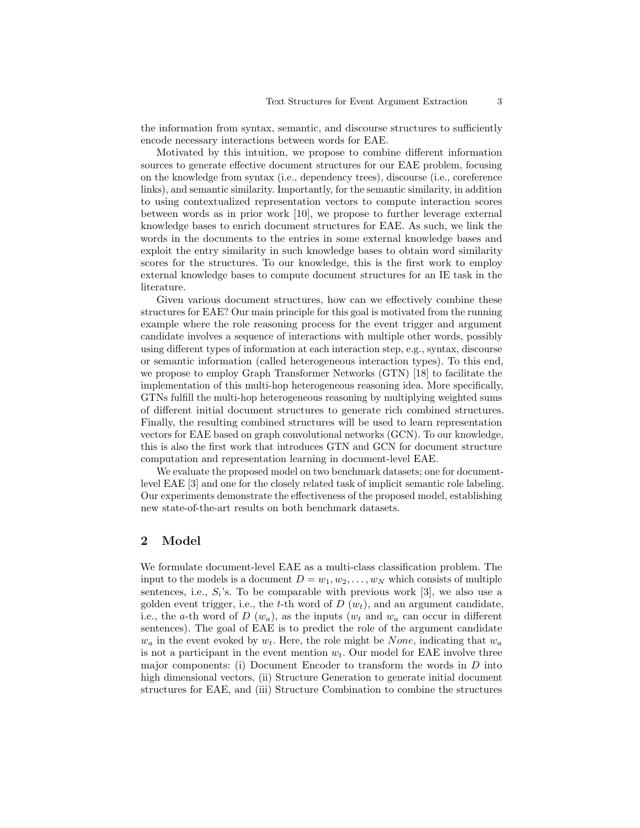the information from syntax, semantic, and discourse structures to sufficiently encode necessary interactions between words for EAE.

Motivated by this intuition, we propose to combine different information sources to generate effective document structures for our EAE problem, focusing on the knowledge from syntax (i.e., dependency trees), discourse (i.e., coreference links), and semantic similarity. Importantly, for the semantic similarity, in addition to using contextualized representation vectors to compute interaction scores between words as in prior work [10], we propose to further leverage external knowledge bases to enrich document structures for EAE. As such, we link the words in the documents to the entries in some external knowledge bases and exploit the entry similarity in such knowledge bases to obtain word similarity scores for the structures. To our knowledge, this is the first work to employ external knowledge bases to compute document structures for an IE task in the literature.

Given various document structures, how can we effectively combine these structures for EAE? Our main principle for this goal is motivated from the running example where the role reasoning process for the event trigger and argument candidate involves a sequence of interactions with multiple other words, possibly using different types of information at each interaction step, e.g., syntax, discourse or semantic information (called heterogeneous interaction types). To this end, we propose to employ Graph Transformer Networks (GTN) [18] to facilitate the implementation of this multi-hop heterogeneous reasoning idea. More specifically, GTNs fulfill the multi-hop heterogeneous reasoning by multiplying weighted sums of different initial document structures to generate rich combined structures. Finally, the resulting combined structures will be used to learn representation vectors for EAE based on graph convolutional networks (GCN). To our knowledge, this is also the first work that introduces GTN and GCN for document structure computation and representation learning in document-level EAE.

We evaluate the proposed model on two benchmark datasets; one for documentlevel EAE [3] and one for the closely related task of implicit semantic role labeling. Our experiments demonstrate the effectiveness of the proposed model, establishing new state-of-the-art results on both benchmark datasets.

# 2 Model

We formulate document-level EAE as a multi-class classification problem. The input to the models is a document  $D = w_1, w_2, \ldots, w_N$  which consists of multiple sentences, i.e.,  $S_i$ 's. To be comparable with previous work [3], we also use a golden event trigger, i.e., the t-th word of  $D(w_t)$ , and an argument candidate, i.e., the a-th word of D  $(w_a)$ , as the inputs  $(w_t \text{ and } w_a \text{ can occur in different})$ sentences). The goal of EAE is to predict the role of the argument candidate  $w_a$  in the event evoked by  $w_t$ . Here, the role might be None, indicating that  $w_a$ is not a participant in the event mention  $w_t$ . Our model for EAE involve three major components: (i) Document Encoder to transform the words in  $D$  into high dimensional vectors, (ii) Structure Generation to generate initial document structures for EAE, and (iii) Structure Combination to combine the structures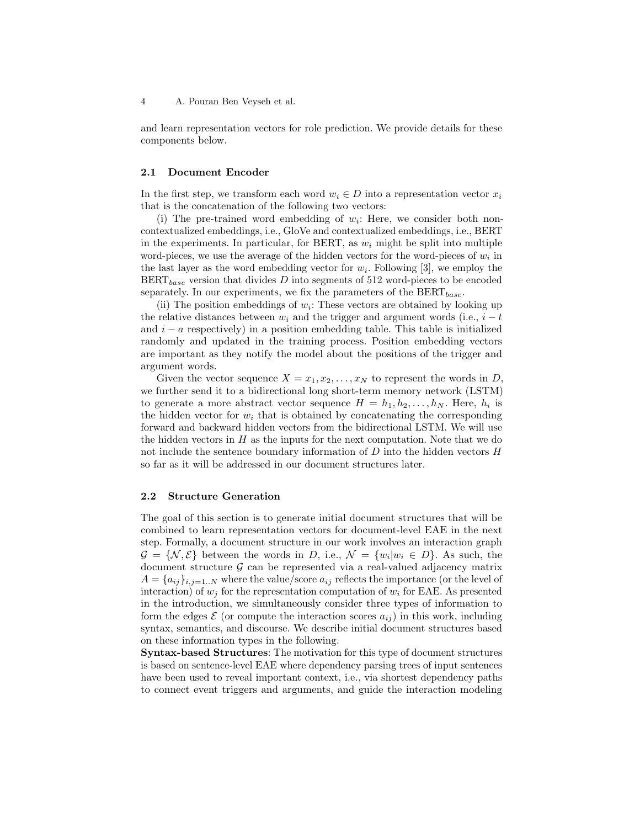and learn representation vectors for role prediction. We provide details for these components below.

#### 2.1 Document Encoder

In the first step, we transform each word  $w_i \in D$  into a representation vector  $x_i$ that is the concatenation of the following two vectors:

(i) The pre-trained word embedding of  $w_i$ : Here, we consider both noncontextualized embeddings, i.e., GloVe and contextualized embeddings, i.e., BERT in the experiments. In particular, for BERT, as  $w_i$  might be split into multiple word-pieces, we use the average of the hidden vectors for the word-pieces of  $w_i$  in the last layer as the word embedding vector for  $w_i$ . Following [3], we employ the  $BERT_{base}$  version that divides D into segments of 512 word-pieces to be encoded separately. In our experiments, we fix the parameters of the  $BERT_{base}$ .

(ii) The position embeddings of  $w_i$ : These vectors are obtained by looking up the relative distances between  $w_i$  and the trigger and argument words (i.e.,  $i - t$ and  $i - a$  respectively) in a position embedding table. This table is initialized randomly and updated in the training process. Position embedding vectors are important as they notify the model about the positions of the trigger and argument words.

Given the vector sequence  $X = x_1, x_2, \ldots, x_N$  to represent the words in D, we further send it to a bidirectional long short-term memory network (LSTM) to generate a more abstract vector sequence  $H = h_1, h_2, \ldots, h_N$ . Here,  $h_i$  is the hidden vector for  $w_i$  that is obtained by concatenating the corresponding forward and backward hidden vectors from the bidirectional LSTM. We will use the hidden vectors in  $H$  as the inputs for the next computation. Note that we do not include the sentence boundary information of  $D$  into the hidden vectors  $H$ so far as it will be addressed in our document structures later.

### 2.2 Structure Generation

The goal of this section is to generate initial document structures that will be combined to learn representation vectors for document-level EAE in the next step. Formally, a document structure in our work involves an interaction graph  $\mathcal{G} = \{ \mathcal{N}, \mathcal{E} \}$  between the words in D, i.e.,  $\mathcal{N} = \{ w_i | w_i \in D \}$ . As such, the document structure  $G$  can be represented via a real-valued adjacency matrix  $A = \{a_{ij}\}_{i,j=1..N}$  where the value/score  $a_{ij}$  reflects the importance (or the level of interaction) of  $w_i$  for the representation computation of  $w_i$  for EAE. As presented in the introduction, we simultaneously consider three types of information to form the edges  $\mathcal E$  (or compute the interaction scores  $a_{ij}$ ) in this work, including syntax, semantics, and discourse. We describe initial document structures based on these information types in the following.

Syntax-based Structures: The motivation for this type of document structures is based on sentence-level EAE where dependency parsing trees of input sentences have been used to reveal important context, i.e., via shortest dependency paths to connect event triggers and arguments, and guide the interaction modeling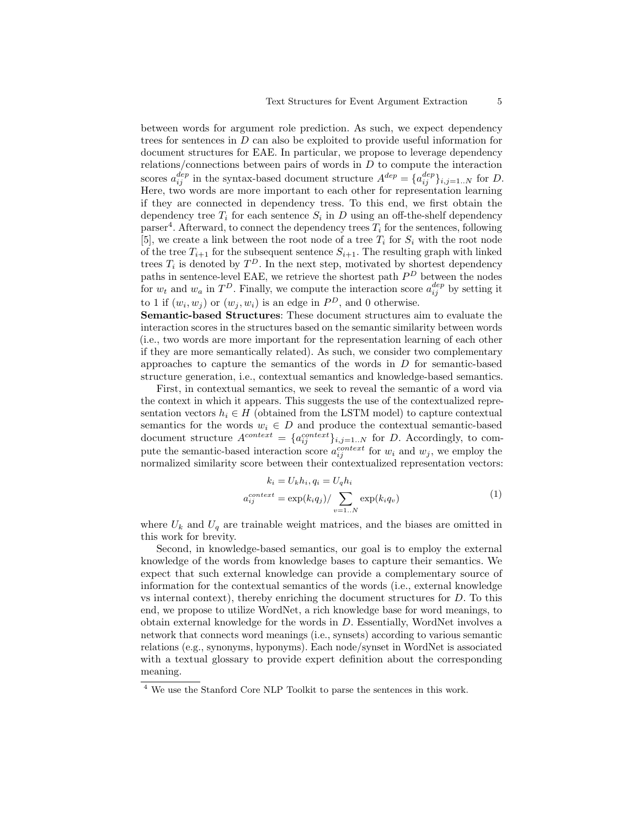between words for argument role prediction. As such, we expect dependency trees for sentences in D can also be exploited to provide useful information for document structures for EAE. In particular, we propose to leverage dependency relations/connections between pairs of words in  $D$  to compute the interaction scores  $a_{ij}^{dep}$  in the syntax-based document structure  $A^{dep} = \{a_{ij}^{dep}\}_{i,j=1..N}$  for D. Here, two words are more important to each other for representation learning if they are connected in dependency tress. To this end, we first obtain the dependency tree  $T_i$  for each sentence  $S_i$  in D using an off-the-shelf dependency parser<sup>4</sup>. Afterward, to connect the dependency trees  $T_i$  for the sentences, following [5], we create a link between the root node of a tree  $T_i$  for  $S_i$  with the root node of the tree  $T_{i+1}$  for the subsequent sentence  $S_{i+1}$ . The resulting graph with linked trees  $T_i$  is denoted by  $T^D$ . In the next step, motivated by shortest dependency paths in sentence-level EAE, we retrieve the shortest path  $P<sup>D</sup>$  between the nodes for  $w_t$  and  $w_a$  in  $T^D$ . Finally, we compute the interaction score  $a_{ij}^{dep}$  by setting it to 1 if  $(w_i, w_j)$  or  $(w_j, w_i)$  is an edge in  $P^D$ , and 0 otherwise.

Semantic-based Structures: These document structures aim to evaluate the interaction scores in the structures based on the semantic similarity between words (i.e., two words are more important for the representation learning of each other if they are more semantically related). As such, we consider two complementary approaches to capture the semantics of the words in  $D$  for semantic-based structure generation, i.e., contextual semantics and knowledge-based semantics.

First, in contextual semantics, we seek to reveal the semantic of a word via the context in which it appears. This suggests the use of the contextualized representation vectors  $h_i \in H$  (obtained from the LSTM model) to capture contextual semantics for the words  $w_i \in D$  and produce the contextual semantic-based document structure  $A^{context} = \{a_{ij}^{context}\}_{i,j=1..N}$  for D. Accordingly, to compute the semantic-based interaction score  $a_{ij}^{context}$  for  $w_i$  and  $w_j$ , we employ the normalized similarity score between their contextualized representation vectors:

$$
k_i = U_k h_i, q_i = U_q h_i
$$
  

$$
a_{ij}^{context} = \exp(k_i q_j) / \sum_{v=1..N} \exp(k_i q_v)
$$
 (1)

where  $U_k$  and  $U_q$  are trainable weight matrices, and the biases are omitted in this work for brevity.

Second, in knowledge-based semantics, our goal is to employ the external knowledge of the words from knowledge bases to capture their semantics. We expect that such external knowledge can provide a complementary source of information for the contextual semantics of the words (i.e., external knowledge vs internal context), thereby enriching the document structures for D. To this end, we propose to utilize WordNet, a rich knowledge base for word meanings, to obtain external knowledge for the words in D. Essentially, WordNet involves a network that connects word meanings (i.e., synsets) according to various semantic relations (e.g., synonyms, hyponyms). Each node/synset in WordNet is associated with a textual glossary to provide expert definition about the corresponding meaning.

<sup>4</sup> We use the Stanford Core NLP Toolkit to parse the sentences in this work.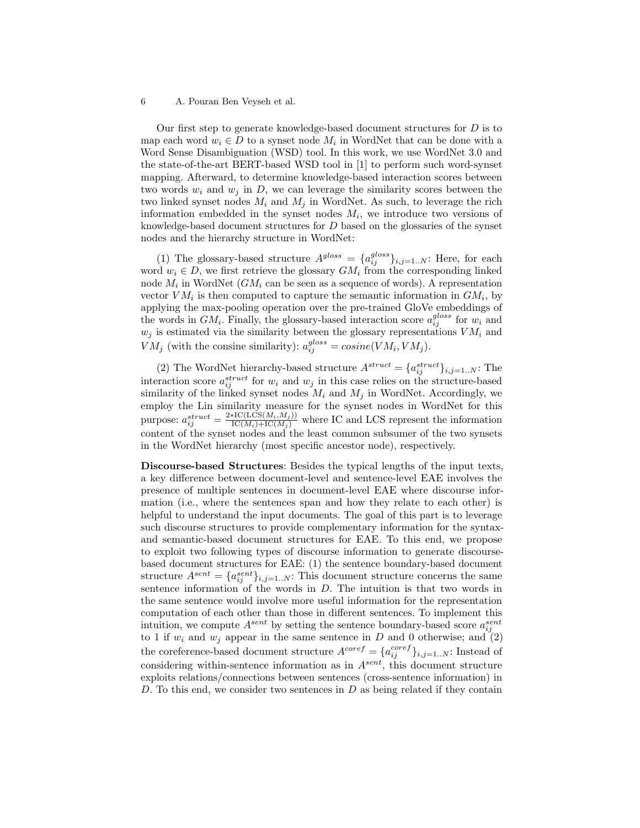Our first step to generate knowledge-based document structures for  $D$  is to map each word  $w_i \in D$  to a synset node  $M_i$  in WordNet that can be done with a Word Sense Disambiguation (WSD) tool. In this work, we use WordNet 3.0 and the state-of-the-art BERT-based WSD tool in [1] to perform such word-synset mapping. Afterward, to determine knowledge-based interaction scores between two words  $w_i$  and  $w_j$  in D, we can leverage the similarity scores between the two linked synset nodes  $M_i$  and  $M_j$  in WordNet. As such, to leverage the rich information embedded in the synset nodes  $M_i$ , we introduce two versions of knowledge-based document structures for D based on the glossaries of the synset nodes and the hierarchy structure in WordNet:

(1) The glossary-based structure  $A^{gloss} = \{a_{ij}^{gloss}\}_{i,j=1..N}$ : Here, for each word  $w_i \in D$ , we first retrieve the glossary  $GM_i$  from the corresponding linked node  $M_i$  in WordNet  $(GM_i)$  can be seen as a sequence of words). A representation vector  $VM_i$  is then computed to capture the semantic information in  $GM_i$ , by applying the max-pooling operation over the pre-trained GloVe embeddings of the words in  $GM_i$ . Finally, the glossary-based interaction score  $a_{ij}^{gloss}$  for  $w_i$  and  $w_j$  is estimated via the similarity between the glossary representations  $VM_i$  and  $VM_j$  (with the consine similarity):  $a_{ij}^{gloss} = cosine(VM_i, VM_j)$ .

(2) The WordNet hierarchy-based structure  $A^{struct} = \{a_{ij}^{struct}\}_{i,j=1..N}$ : The interaction score  $a_{ij}^{struct}$  for  $w_i$  and  $w_j$  in this case relies on the structure-based similarity of the linked synset nodes  $M_i$  and  $M_j$  in WordNet. Accordingly, we employ the Lin similarity measure for the synset nodes in WordNet for this purpose:  $a_{ij}^{struct} = \frac{2 * \text{IC}(\text{LCS}(M_i, M_j))}{\text{IC}(M_i) + \text{IC}(M_j)}$  where IC and LCS represent the information content of the synset nodes and the least common subsumer of the two synsets in the WordNet hierarchy (most specific ancestor node), respectively.

Discourse-based Structures: Besides the typical lengths of the input texts, a key difference between document-level and sentence-level EAE involves the presence of multiple sentences in document-level EAE where discourse information (i.e., where the sentences span and how they relate to each other) is helpful to understand the input documents. The goal of this part is to leverage such discourse structures to provide complementary information for the syntaxand semantic-based document structures for EAE. To this end, we propose to exploit two following types of discourse information to generate discoursebased document structures for EAE: (1) the sentence boundary-based document structure  $A^{sent} = \{a_{ij}^{sent}\}_{i,j=1..N}$ : This document structure concerns the same sentence information of the words in D. The intuition is that two words in the same sentence would involve more useful information for the representation computation of each other than those in different sentences. To implement this intuition, we compute  $A^{sent}$  by setting the sentence boundary-based score  $a_{ij}^{sent}$ to 1 if  $w_i$  and  $w_j$  appear in the same sentence in D and 0 otherwise; and (2) the coreference-based document structure  $A^{coref} = \{a_{ij}^{coref}\}_{i,j=1..N}$ : Instead of considering within-sentence information as in  $A^{sent}$ , this document structure exploits relations/connections between sentences (cross-sentence information) in D. To this end, we consider two sentences in  $D$  as being related if they contain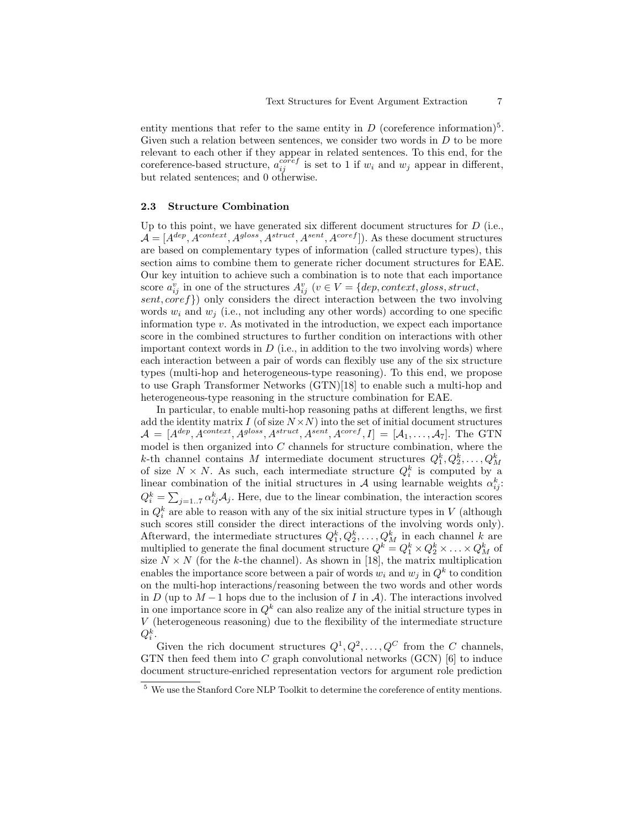entity mentions that refer to the same entity in  $D$  (coreference information)<sup>5</sup>. Given such a relation between sentences, we consider two words in  $D$  to be more relevant to each other if they appear in related sentences. To this end, for the coreference-based structure,  $a_{ij}^{co\hat{r}\hat{e}f}$  is set to 1 if  $w_i$  and  $w_j$  appear in different, but related sentences; and 0 otherwise.

## 2.3 Structure Combination

Up to this point, we have generated six different document structures for  $D$  (i.e.,  $\mathcal{A} = [A^{dep}, A^{context}, A^{gloss}, A^{struct}, A^{sent}, A^{coref}].$  As these document structures are based on complementary types of information (called structure types), this section aims to combine them to generate richer document structures for EAE. Our key intuition to achieve such a combination is to note that each importance score  $a_{ij}^v$  in one of the structures  $A_{ij}^v$  ( $v \in V = \{dep, context, gloss, struct,$ 

sent, coref}) only considers the direct interaction between the two involving words  $w_i$  and  $w_j$  (i.e., not including any other words) according to one specific information type  $v$ . As motivated in the introduction, we expect each importance score in the combined structures to further condition on interactions with other important context words in  $D$  (i.e., in addition to the two involving words) where each interaction between a pair of words can flexibly use any of the six structure types (multi-hop and heterogeneous-type reasoning). To this end, we propose to use Graph Transformer Networks (GTN)[18] to enable such a multi-hop and heterogeneous-type reasoning in the structure combination for EAE.

In particular, to enable multi-hop reasoning paths at different lengths, we first add the identity matrix I (of size  $N \times N$ ) into the set of initial document structures  $\mathcal{A} = [A^{dep}, A^{context}, A^{gloss}, A^{struct}, A^{sent}, A^{coref}, I] = [\mathcal{A}_1, \ldots, \mathcal{A}_7]$ . The GTN model is then organized into  $C$  channels for structure combination, where the k-th channel contains M intermediate document structures  $Q_1^k, Q_2^k, \ldots, Q_M^k$ of size  $N \times N$ . As such, each intermediate structure  $Q_i^k$  is computed by a linear combination of the initial structures in A using learnable weights  $\alpha_{ij}^k$ :  $Q_i^k = \sum_{j=1..7} \alpha_{ij}^k \mathcal{A}_j$ . Here, due to the linear combination, the interaction scores in  $Q_i^k$  are able to reason with any of the six initial structure types in V (although such scores still consider the direct interactions of the involving words only). Afterward, the intermediate structures  $Q_1^k, Q_2^k, \ldots, Q_M^k$  in each channel k are multiplied to generate the final document structure  $Q^k = Q_1^k \times Q_2^k \times \ldots \times Q_M^k$  of size  $N \times N$  (for the k-the channel). As shown in [18], the matrix multiplication enables the importance score between a pair of words  $w_i$  and  $w_j$  in  $Q^k$  to condition on the multi-hop interactions/reasoning between the two words and other words in D (up to  $M-1$  hops due to the inclusion of I in A). The interactions involved in one importance score in  $Q^k$  can also realize any of the initial structure types in V (heterogeneous reasoning) due to the flexibility of the intermediate structure  $Q_i^k.$ 

Given the rich document structures  $Q^1, Q^2, \ldots, Q^C$  from the C channels, GTN then feed them into  $C$  graph convolutional networks  $(GCN)$  [6] to induce document structure-enriched representation vectors for argument role prediction

<sup>5</sup> We use the Stanford Core NLP Toolkit to determine the coreference of entity mentions.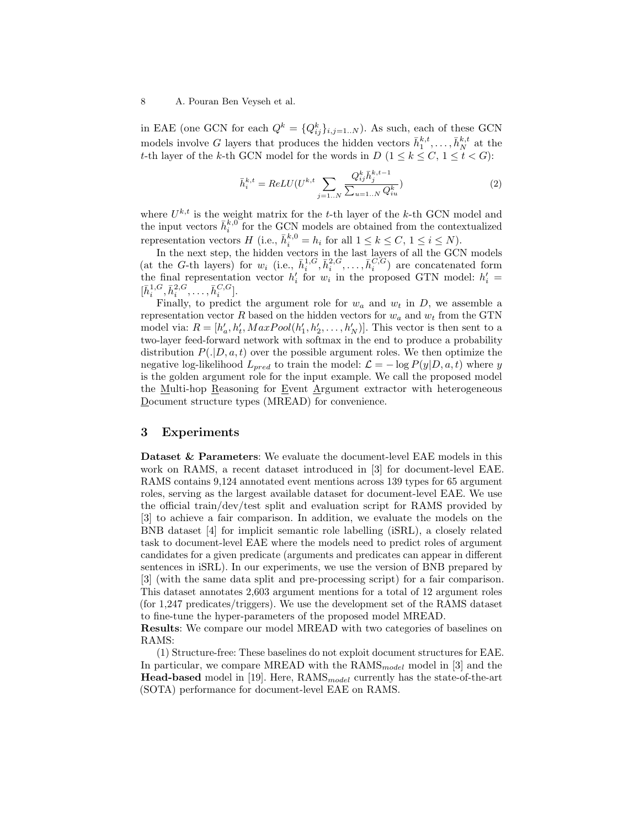in EAE (one GCN for each  $Q^k = \{Q_{ij}^k\}_{i,j=1..N}$ ). As such, each of these GCN models involve G layers that produces the hidden vectors  $\bar{h}_1^{k,t}, \ldots, \bar{h}_N^{k,t}$  at the t-th layer of the k-th GCN model for the words in  $D$   $(1 \leq k \leq C, 1 \leq t < G)$ :

$$
\bar{h}_i^{k,t} = ReLU(U^{k,t} \sum_{j=1..N} \frac{Q_{ij}^k \bar{h}_j^{k,t-1}}{\sum_{u=1..N} Q_{iu}^k})
$$
\n(2)

where  $U^{k,t}$  is the weight matrix for the t-th layer of the k-th GCN model and the input vectors  $\bar{h}_i^{k,0}$  for the GCN models are obtained from the contextualized representation vectors  $H$  (i.e.,  $\bar{h}_i^{k,0} = h_i$  for all  $1 \le k \le C, 1 \le i \le N$ ).

In the next step, the hidden vectors in the last layers of all the GCN models (at the G-th layers) for  $w_i$  (i.e.,  $\bar{h}_i^{1,G}, \bar{h}_i^{2,G}, \ldots, \bar{h}_i^{C,G}$ ) are concatenated form the final representation vector  $h'_i$  for  $w_i$  in the proposed GTN model:  $h'_i$  =  $[\bar{h}_i^{1,G}, \bar{h}_i^{2,G}, \dots, \bar{h}_i^{C,G}].$ 

Finally, to predict the argument role for  $w_a$  and  $w_t$  in  $D$ , we assemble a representation vector R based on the hidden vectors for  $w_a$  and  $w_t$  from the GTN model via:  $R = [h'_a, h'_t, MaxPool(h'_1, h'_2, \dots, h'_N)]$ . This vector is then sent to a two-layer feed-forward network with softmax in the end to produce a probability distribution  $P(.|D, a, t)$  over the possible argument roles. We then optimize the negative log-likelihood  $L_{pred}$  to train the model:  $\mathcal{L} = -\log P(y|D, a, t)$  where y is the golden argument role for the input example. We call the proposed model the Multi-hop Reasoning for Event Argument extractor with heterogeneous Document structure types (MREAD) for convenience.

## 3 Experiments

Dataset & Parameters: We evaluate the document-level EAE models in this work on RAMS, a recent dataset introduced in [3] for document-level EAE. RAMS contains 9,124 annotated event mentions across 139 types for 65 argument roles, serving as the largest available dataset for document-level EAE. We use the official train/dev/test split and evaluation script for RAMS provided by [3] to achieve a fair comparison. In addition, we evaluate the models on the BNB dataset [4] for implicit semantic role labelling (iSRL), a closely related task to document-level EAE where the models need to predict roles of argument candidates for a given predicate (arguments and predicates can appear in different sentences in iSRL). In our experiments, we use the version of BNB prepared by [3] (with the same data split and pre-processing script) for a fair comparison. This dataset annotates 2,603 argument mentions for a total of 12 argument roles (for 1,247 predicates/triggers). We use the development set of the RAMS dataset to fine-tune the hyper-parameters of the proposed model MREAD.

Results: We compare our model MREAD with two categories of baselines on RAMS:

(1) Structure-free: These baselines do not exploit document structures for EAE. In particular, we compare MREAD with the  $RAMS_{model}$  model in [3] and the **Head-based** model in [19]. Here,  $RAMS_{model}$  currently has the state-of-the-art (SOTA) performance for document-level EAE on RAMS.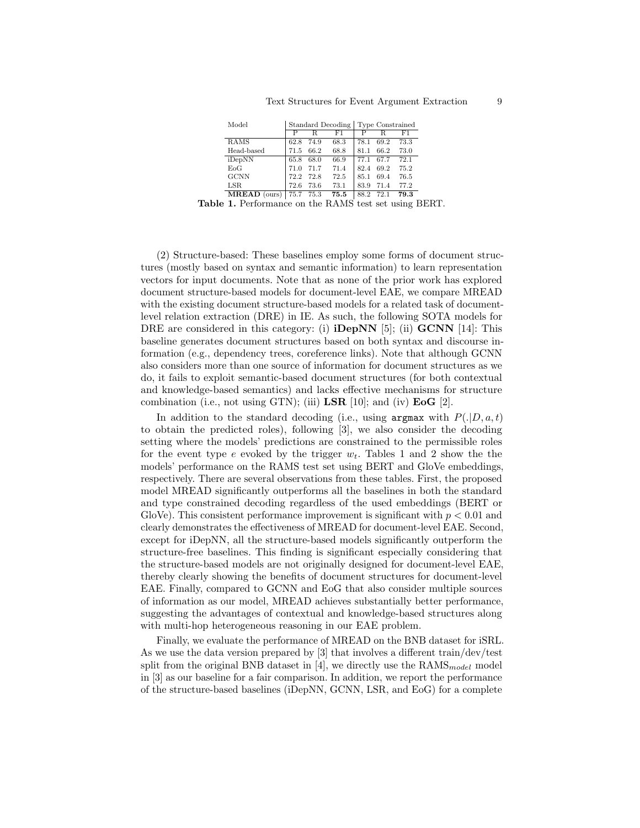| Model                 | Standard Decoding |      | Type Constrained |      |      |      |
|-----------------------|-------------------|------|------------------|------|------|------|
|                       | р                 | R.   | $_{\rm F1}$      | Р    | R.   | F1   |
| RAMS                  | 62.8              | 74.9 | 68.3             | 78.1 | 69.2 | 73.3 |
| Head-based            | 71.5              | 66.2 | 68.8             | 81.1 | 66.2 | 73.0 |
| iDepNN                | 65.8              | 68.0 | 66.9             | 77.1 | 67.7 | 72.1 |
| E <sub>0</sub> G      | 71.0              | 71.7 | 71.4             | 82.4 | 69.2 | 75.2 |
| <b>GCNN</b>           | 72.2              | 72.8 | 72.5             | 85.1 | 69.4 | 76.5 |
| <b>LSR</b>            | 72.6              | 73.6 | 73.1             | 83.9 | 71.4 | 77.2 |
| $\rm MREAD$<br>(ours) | 75.7              | 75.3 | 75.5             | 88.2 | 72.1 | 79.3 |

Table 1. Performance on the RAMS test set using BERT.

(2) Structure-based: These baselines employ some forms of document structures (mostly based on syntax and semantic information) to learn representation vectors for input documents. Note that as none of the prior work has explored document structure-based models for document-level EAE, we compare MREAD with the existing document structure-based models for a related task of documentlevel relation extraction (DRE) in IE. As such, the following SOTA models for DRE are considered in this category: (i)  $\mathbf{i}$  DepNN [5]; (ii)  $\mathbf{GCNN}$  [14]: This baseline generates document structures based on both syntax and discourse information (e.g., dependency trees, coreference links). Note that although GCNN also considers more than one source of information for document structures as we do, it fails to exploit semantic-based document structures (for both contextual and knowledge-based semantics) and lacks effective mechanisms for structure combination (i.e., not using GTN); (iii)  $\bf{LSR}$  [10]; and (iv)  $\bf{EoG}$  [2].

In addition to the standard decoding (i.e., using argmax with  $P(.|D, a, t)$ to obtain the predicted roles), following [3], we also consider the decoding setting where the models' predictions are constrained to the permissible roles for the event type e evoked by the trigger  $w_t$ . Tables 1 and 2 show the the models' performance on the RAMS test set using BERT and GloVe embeddings, respectively. There are several observations from these tables. First, the proposed model MREAD significantly outperforms all the baselines in both the standard and type constrained decoding regardless of the used embeddings (BERT or GloVe). This consistent performance improvement is significant with  $p < 0.01$  and clearly demonstrates the effectiveness of MREAD for document-level EAE. Second, except for iDepNN, all the structure-based models significantly outperform the structure-free baselines. This finding is significant especially considering that the structure-based models are not originally designed for document-level EAE, thereby clearly showing the benefits of document structures for document-level EAE. Finally, compared to GCNN and EoG that also consider multiple sources of information as our model, MREAD achieves substantially better performance, suggesting the advantages of contextual and knowledge-based structures along with multi-hop heterogeneous reasoning in our EAE problem.

Finally, we evaluate the performance of MREAD on the BNB dataset for iSRL. As we use the data version prepared by [3] that involves a different train/dev/test split from the original BNB dataset in [4], we directly use the  $\text{RAMS}_{model}$  model in [3] as our baseline for a fair comparison. In addition, we report the performance of the structure-based baselines (iDepNN, GCNN, LSR, and EoG) for a complete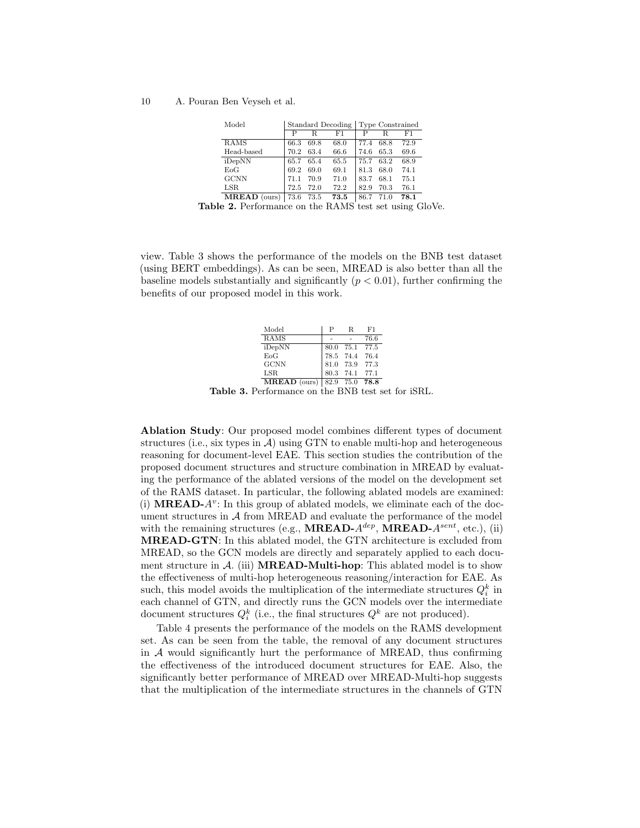| Model                  | Standard Decoding |      |      | <b>Type Constrained</b> |      |      |
|------------------------|-------------------|------|------|-------------------------|------|------|
|                        | P                 | R    | F1   | Р                       | R.   | F1   |
| <b>RAMS</b>            | 66.3              | 69.8 | 68.0 | 77.4                    | 68.8 | 72.9 |
| Head-based             | 70.2              | 63.4 | 66.6 | 74.6                    | 65.3 | 69.6 |
| iDepNN                 | 65.7              | 65.4 | 65.5 | 75.7                    | 63.2 | 68.9 |
| E <sub>0</sub> G       | 69.2              | 69.0 | 69.1 | 81.3                    | 68.0 | 74.1 |
| <b>GCNN</b>            | 71.1              | 70.9 | 71.0 | 83.7                    | 68.1 | 75.1 |
| LSR.                   | 72.5              | 72.0 | 72.2 | 82.9                    | 70.3 | 76.1 |
| <b>MREAD</b><br>(ours) | 73.6              | 73.5 | 73.5 | 86.7                    | 71.0 | 78.1 |

Table 2. Performance on the RAMS test set using GloVe.

view. Table 3 shows the performance of the models on the BNB test dataset (using BERT embeddings). As can be seen, MREAD is also better than all the baseline models substantially and significantly  $(p < 0.01)$ , further confirming the benefits of our proposed model in this work.

| Model               | Р    | R.             | F1   |
|---------------------|------|----------------|------|
| <b>RAMS</b>         |      |                | 76.6 |
| iDepNN              | 80.0 | 75.1 77.5      |      |
| E <sub>0</sub> G    |      | 78.5 74.4      | 76.4 |
| <b>GCNN</b>         | 81.0 | 73.9 77.3      |      |
| LSR                 | 80.3 | 74.1           | 77.1 |
| <b>MREAD</b> (ours) |      | 82.9 75.0 78.8 |      |

Table 3. Performance on the BNB test set for iSRL.

Ablation Study: Our proposed model combines different types of document structures (i.e., six types in  $\mathcal{A}$ ) using GTN to enable multi-hop and heterogeneous reasoning for document-level EAE. This section studies the contribution of the proposed document structures and structure combination in MREAD by evaluating the performance of the ablated versions of the model on the development set of the RAMS dataset. In particular, the following ablated models are examined: (i) **MREAD-** $A^v$ : In this group of ablated models, we eliminate each of the document structures in A from MREAD and evaluate the performance of the model with the remaining structures (e.g., **MREAD-** $A^{dep}$ , **MREAD-** $A^{sent}$ , etc.), (ii) MREAD-GTN: In this ablated model, the GTN architecture is excluded from MREAD, so the GCN models are directly and separately applied to each document structure in  $\mathcal{A}$ . (iii) **MREAD-Multi-hop**: This ablated model is to show the effectiveness of multi-hop heterogeneous reasoning/interaction for EAE. As such, this model avoids the multiplication of the intermediate structures  $Q_i^k$  in each channel of GTN, and directly runs the GCN models over the intermediate document structures  $Q_i^k$  (i.e., the final structures  $Q^k$  are not produced).

Table 4 presents the performance of the models on the RAMS development set. As can be seen from the table, the removal of any document structures in  $A$  would significantly hurt the performance of MREAD, thus confirming the effectiveness of the introduced document structures for EAE. Also, the significantly better performance of MREAD over MREAD-Multi-hop suggests that the multiplication of the intermediate structures in the channels of GTN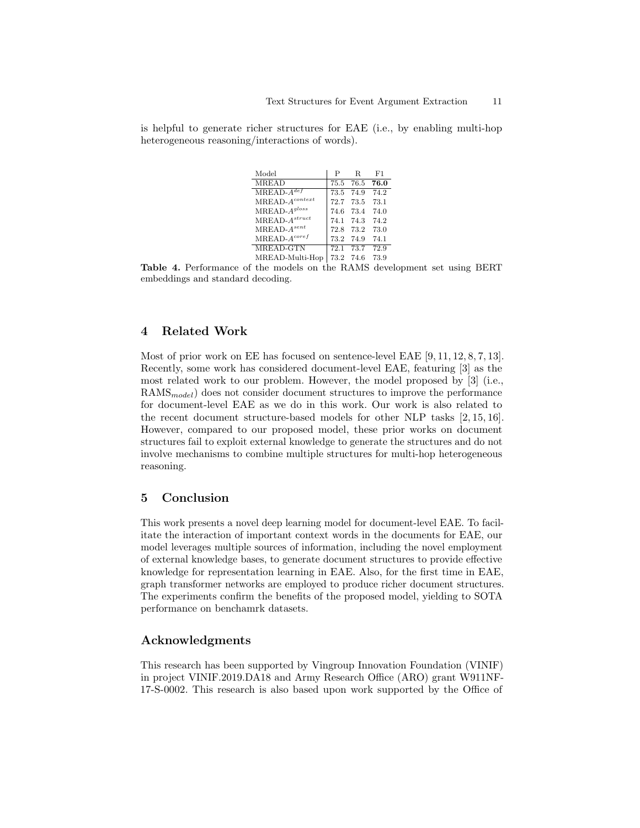is helpful to generate richer structures for EAE (i.e., by enabling multi-hop heterogeneous reasoning/interactions of words).

| Model                                         | Р    | R.   | F1   |
|-----------------------------------------------|------|------|------|
| <b>MREAD</b>                                  | 75.5 | 76.5 | 76.0 |
| $MREAD-A^{def}$                               | 73.5 | 74.9 | 74.2 |
| $\operatorname{MREAD}\nolimits\! A^{context}$ | 72.7 | 73.5 | 73.1 |
| $MREAD-Agloss$                                | 74.6 | 73.4 | 74.0 |
| $MREAD-Astruct$                               | 74.1 | 74.3 | 74.2 |
| $MREAD-Asent$                                 | 72.8 | 73.2 | 73.0 |
| $MREAD-Acoref$                                | 73.2 | 74.9 | 74.1 |
| MREAD-GTN                                     | 72.1 | 73.7 | 72.9 |
| MREAD-Multi-Hop                               | 73.2 | 74.6 | 73.9 |

Table 4. Performance of the models on the RAMS development set using BERT embeddings and standard decoding.

# 4 Related Work

Most of prior work on EE has focused on sentence-level EAE [9, 11, 12, 8, 7, 13]. Recently, some work has considered document-level EAE, featuring [3] as the most related work to our problem. However, the model proposed by [3] (i.e., RAMS<sub>model</sub>) does not consider document structures to improve the performance for document-level EAE as we do in this work. Our work is also related to the recent document structure-based models for other NLP tasks [2, 15, 16]. However, compared to our proposed model, these prior works on document structures fail to exploit external knowledge to generate the structures and do not involve mechanisms to combine multiple structures for multi-hop heterogeneous reasoning.

# 5 Conclusion

This work presents a novel deep learning model for document-level EAE. To facilitate the interaction of important context words in the documents for EAE, our model leverages multiple sources of information, including the novel employment of external knowledge bases, to generate document structures to provide effective knowledge for representation learning in EAE. Also, for the first time in EAE, graph transformer networks are employed to produce richer document structures. The experiments confirm the benefits of the proposed model, yielding to SOTA performance on benchamrk datasets.

# Acknowledgments

This research has been supported by Vingroup Innovation Foundation (VINIF) in project VINIF.2019.DA18 and Army Research Office (ARO) grant W911NF-17-S-0002. This research is also based upon work supported by the Office of